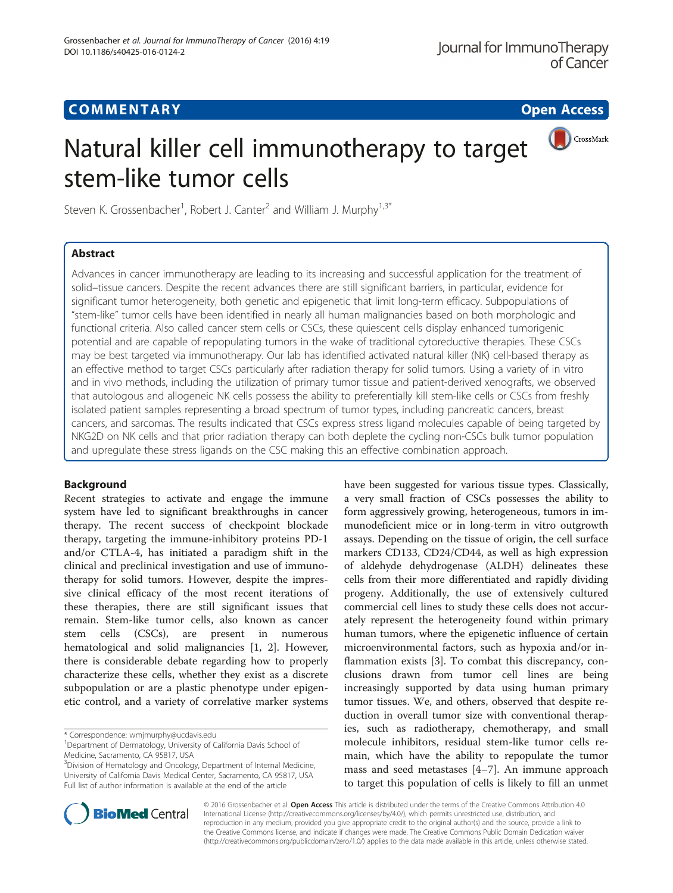# **COMMENTARY COMMENTARY Open Access**

# Natural killer cell immunotherapy to target stem-like tumor cells



Steven K. Grossenbacher<sup>1</sup>, Robert J. Canter<sup>2</sup> and William J. Murphy<sup>1,3\*</sup>

# Abstract

Advances in cancer immunotherapy are leading to its increasing and successful application for the treatment of solid–tissue cancers. Despite the recent advances there are still significant barriers, in particular, evidence for significant tumor heterogeneity, both genetic and epigenetic that limit long-term efficacy. Subpopulations of "stem-like" tumor cells have been identified in nearly all human malignancies based on both morphologic and functional criteria. Also called cancer stem cells or CSCs, these quiescent cells display enhanced tumorigenic potential and are capable of repopulating tumors in the wake of traditional cytoreductive therapies. These CSCs may be best targeted via immunotherapy. Our lab has identified activated natural killer (NK) cell-based therapy as an effective method to target CSCs particularly after radiation therapy for solid tumors. Using a variety of in vitro and in vivo methods, including the utilization of primary tumor tissue and patient-derived xenografts, we observed that autologous and allogeneic NK cells possess the ability to preferentially kill stem-like cells or CSCs from freshly isolated patient samples representing a broad spectrum of tumor types, including pancreatic cancers, breast cancers, and sarcomas. The results indicated that CSCs express stress ligand molecules capable of being targeted by NKG2D on NK cells and that prior radiation therapy can both deplete the cycling non-CSCs bulk tumor population and upregulate these stress ligands on the CSC making this an effective combination approach.

# Background

Recent strategies to activate and engage the immune system have led to significant breakthroughs in cancer therapy. The recent success of checkpoint blockade therapy, targeting the immune-inhibitory proteins PD-1 and/or CTLA-4, has initiated a paradigm shift in the clinical and preclinical investigation and use of immunotherapy for solid tumors. However, despite the impressive clinical efficacy of the most recent iterations of these therapies, there are still significant issues that remain. Stem-like tumor cells, also known as cancer stem cells (CSCs), are present in numerous hematological and solid malignancies [[1, 2\]](#page-2-0). However, there is considerable debate regarding how to properly characterize these cells, whether they exist as a discrete subpopulation or are a plastic phenotype under epigenetic control, and a variety of correlative marker systems

\* Correspondence: [wmjmurphy@ucdavis.edu](mailto:wmjmurphy@ucdavis.edu) <sup>1</sup>

<sup>3</sup>Division of Hematology and Oncology, Department of Internal Medicine, University of California Davis Medical Center, Sacramento, CA 95817, USA Full list of author information is available at the end of the article

have been suggested for various tissue types. Classically, a very small fraction of CSCs possesses the ability to form aggressively growing, heterogeneous, tumors in immunodeficient mice or in long-term in vitro outgrowth assays. Depending on the tissue of origin, the cell surface markers CD133, CD24/CD44, as well as high expression of aldehyde dehydrogenase (ALDH) delineates these cells from their more differentiated and rapidly dividing progeny. Additionally, the use of extensively cultured commercial cell lines to study these cells does not accurately represent the heterogeneity found within primary human tumors, where the epigenetic influence of certain microenvironmental factors, such as hypoxia and/or inflammation exists [[3\]](#page-2-0). To combat this discrepancy, conclusions drawn from tumor cell lines are being increasingly supported by data using human primary tumor tissues. We, and others, observed that despite reduction in overall tumor size with conventional therapies, such as radiotherapy, chemotherapy, and small molecule inhibitors, residual stem-like tumor cells remain, which have the ability to repopulate the tumor mass and seed metastases [\[4](#page-2-0)–[7\]](#page-2-0). An immune approach to target this population of cells is likely to fill an unmet



© 2016 Grossenbacher et al. Open Access This article is distributed under the terms of the Creative Commons Attribution 4.0 International License [\(http://creativecommons.org/licenses/by/4.0/](http://creativecommons.org/licenses/by/4.0/)), which permits unrestricted use, distribution, and reproduction in any medium, provided you give appropriate credit to the original author(s) and the source, provide a link to the Creative Commons license, and indicate if changes were made. The Creative Commons Public Domain Dedication waiver [\(http://creativecommons.org/publicdomain/zero/1.0/](http://creativecommons.org/publicdomain/zero/1.0/)) applies to the data made available in this article, unless otherwise stated.

<sup>&</sup>lt;sup>1</sup>Department of Dermatology, University of California Davis School of Medicine, Sacramento, CA 95817, USA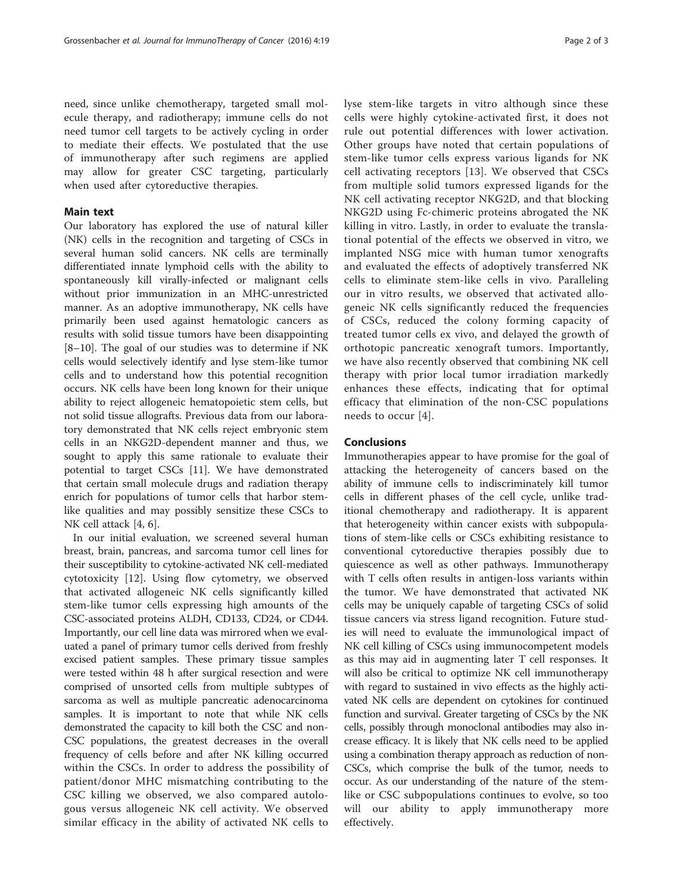need, since unlike chemotherapy, targeted small molecule therapy, and radiotherapy; immune cells do not need tumor cell targets to be actively cycling in order to mediate their effects. We postulated that the use of immunotherapy after such regimens are applied may allow for greater CSC targeting, particularly when used after cytoreductive therapies.

## Main text

Our laboratory has explored the use of natural killer (NK) cells in the recognition and targeting of CSCs in several human solid cancers. NK cells are terminally differentiated innate lymphoid cells with the ability to spontaneously kill virally-infected or malignant cells without prior immunization in an MHC-unrestricted manner. As an adoptive immunotherapy, NK cells have primarily been used against hematologic cancers as results with solid tissue tumors have been disappointing [[8](#page-2-0)–[10\]](#page-2-0). The goal of our studies was to determine if NK cells would selectively identify and lyse stem-like tumor cells and to understand how this potential recognition occurs. NK cells have been long known for their unique ability to reject allogeneic hematopoietic stem cells, but not solid tissue allografts. Previous data from our laboratory demonstrated that NK cells reject embryonic stem cells in an NKG2D-dependent manner and thus, we sought to apply this same rationale to evaluate their potential to target CSCs [[11\]](#page-2-0). We have demonstrated that certain small molecule drugs and radiation therapy enrich for populations of tumor cells that harbor stemlike qualities and may possibly sensitize these CSCs to NK cell attack [\[4, 6\]](#page-2-0).

In our initial evaluation, we screened several human breast, brain, pancreas, and sarcoma tumor cell lines for their susceptibility to cytokine-activated NK cell-mediated cytotoxicity [[12\]](#page-2-0). Using flow cytometry, we observed that activated allogeneic NK cells significantly killed stem-like tumor cells expressing high amounts of the CSC-associated proteins ALDH, CD133, CD24, or CD44. Importantly, our cell line data was mirrored when we evaluated a panel of primary tumor cells derived from freshly excised patient samples. These primary tissue samples were tested within 48 h after surgical resection and were comprised of unsorted cells from multiple subtypes of sarcoma as well as multiple pancreatic adenocarcinoma samples. It is important to note that while NK cells demonstrated the capacity to kill both the CSC and non-CSC populations, the greatest decreases in the overall frequency of cells before and after NK killing occurred within the CSCs. In order to address the possibility of patient/donor MHC mismatching contributing to the CSC killing we observed, we also compared autologous versus allogeneic NK cell activity. We observed similar efficacy in the ability of activated NK cells to lyse stem-like targets in vitro although since these cells were highly cytokine-activated first, it does not rule out potential differences with lower activation. Other groups have noted that certain populations of stem-like tumor cells express various ligands for NK cell activating receptors [[13](#page-2-0)]. We observed that CSCs from multiple solid tumors expressed ligands for the NK cell activating receptor NKG2D, and that blocking NKG2D using Fc-chimeric proteins abrogated the NK killing in vitro. Lastly, in order to evaluate the translational potential of the effects we observed in vitro, we implanted NSG mice with human tumor xenografts and evaluated the effects of adoptively transferred NK cells to eliminate stem-like cells in vivo. Paralleling our in vitro results, we observed that activated allogeneic NK cells significantly reduced the frequencies of CSCs, reduced the colony forming capacity of treated tumor cells ex vivo, and delayed the growth of orthotopic pancreatic xenograft tumors. Importantly, we have also recently observed that combining NK cell therapy with prior local tumor irradiation markedly enhances these effects, indicating that for optimal efficacy that elimination of the non-CSC populations needs to occur [[4\]](#page-2-0).

## Conclusions

Immunotherapies appear to have promise for the goal of attacking the heterogeneity of cancers based on the ability of immune cells to indiscriminately kill tumor cells in different phases of the cell cycle, unlike traditional chemotherapy and radiotherapy. It is apparent that heterogeneity within cancer exists with subpopulations of stem-like cells or CSCs exhibiting resistance to conventional cytoreductive therapies possibly due to quiescence as well as other pathways. Immunotherapy with T cells often results in antigen-loss variants within the tumor. We have demonstrated that activated NK cells may be uniquely capable of targeting CSCs of solid tissue cancers via stress ligand recognition. Future studies will need to evaluate the immunological impact of NK cell killing of CSCs using immunocompetent models as this may aid in augmenting later T cell responses. It will also be critical to optimize NK cell immunotherapy with regard to sustained in vivo effects as the highly activated NK cells are dependent on cytokines for continued function and survival. Greater targeting of CSCs by the NK cells, possibly through monoclonal antibodies may also increase efficacy. It is likely that NK cells need to be applied using a combination therapy approach as reduction of non-CSCs, which comprise the bulk of the tumor, needs to occur. As our understanding of the nature of the stemlike or CSC subpopulations continues to evolve, so too will our ability to apply immunotherapy more effectively.